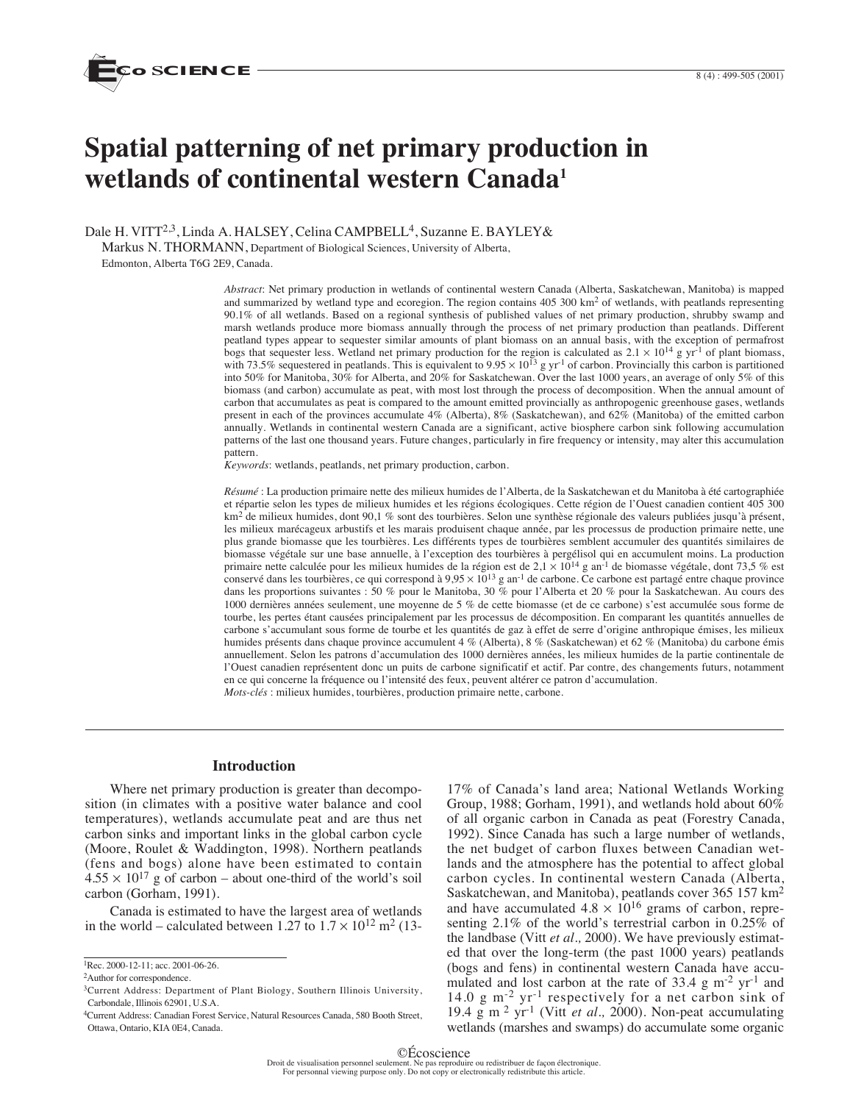

# **Spatial patterning of net primary production in wetlands of continental western Canada1**

Dale H. VITT<sup>2,3</sup>, Linda A. HALSEY, Celina CAMPBELL<sup>4</sup>, Suzanne E. BAYLEY&

Markus N. THORMANN, Department of Biological Sciences, University of Alberta,

Edmonton, Alberta T6G 2E9, Canada.

*Abstract*: Net primary production in wetlands of continental western Canada (Alberta, Saskatchewan, Manitoba) is mapped and summarized by wetland type and ecoregion. The region contains  $405\,300\ \text{km}^2$  of wetlands, with peatlands representing 90.1% of all wetlands. Based on a regional synthesis of published values of net primary production, shrubby swamp and marsh wetlands produce more biomass annually through the process of net primary production than peatlands. Different peatland types appear to sequester similar amounts of plant biomass on an annual basis, with the exception of permafrost bogs that sequester less. Wetland net primary production for the region is calculated as  $2.1 \times 10^{14}$  g yr<sup>-1</sup> of plant biomass, with 73.5% sequestered in peatlands. This is equivalent to  $9.95 \times 10^{13}$  g yr<sup>-1</sup> of carbon. Provincially this carbon is partitioned into 50% for Manitoba, 30% for Alberta, and 20% for Saskatchewan. Over the last 1000 years, an average of only 5% of this biomass (and carbon) accumulate as peat, with most lost through the process of decomposition. When the annual amount of carbon that accumulates as peat is compared to the amount emitted provincially as anthropogenic greenhouse gases, wetlands present in each of the provinces accumulate 4% (Alberta), 8% (Saskatchewan), and 62% (Manitoba) of the emitted carbon annually. Wetlands in continental western Canada are a significant, active biosphere carbon sink following accumulation patterns of the last one thousand years. Future changes, particularly in fire frequency or intensity, may alter this accumulation pattern.

*Keywords*: wetlands, peatlands, net primary production, carbon.

*Résumé* : La production primaire nette des milieux humides de l'Alberta, de la Saskatchewan et du Manitoba à été cartographiée et répartie selon les types de milieux humides et les régions écologiques. Cette région de l'Ouest canadien contient 405 300 km<sup>2</sup> de milieux humides, dont 90,1 % sont des tourbières. Selon une synthèse régionale des valeurs publiées jusqu'à présent, les milieux marécageux arbustifs et les marais produisent chaque année, par les processus de production primaire nette, une plus grande biomasse que les tourbières. Les différents types de tourbières semblent accumuler des quantités similaires de biomasse végétale sur une base annuelle, à l'exception des tourbières à pergélisol qui en accumulent moins. La production primaire nette calculée pour les milieux humides de la région est de  $2.1 \times 10^{14}$  g an<sup>-1</sup> de biomasse végétale, dont 73,5 % est conservé dans les tourbières, ce qui correspond à  $9.95 \times 10^{13}$  g an<sup>-1</sup> de carbone. Ce carbone est partagé entre chaque province dans les proportions suivantes : 50 % pour le Manitoba, 30 % pour l'Alberta et 20 % pour la Saskatchewan. Au cours des 1000 dernières années seulement, une moyenne de 5 % de cette biomasse (et de ce carbone) s'est accumulée sous forme de tourbe, les pertes étant causées principalement par les processus de décomposition. En comparant les quantités annuelles de carbone s'accumulant sous forme de tourbe et les quantités de gaz à effet de serre d'origine anthropique émises, les milieux humides présents dans chaque province accumulent 4 % (Alberta), 8 % (Saskatchewan) et 62 % (Manitoba) du carbone émis annuellement. Selon les patrons d'accumulation des 1000 dernières années, les milieux humides de la partie continentale de l'Ouest canadien représentent donc un puits de carbone significatif et actif. Par contre, des changements futurs, notamment en ce qui concerne la fréquence ou l'intensité des feux, peuvent altérer ce patron d'accumulation. *Mots-clés* : milieux humides, tourbières, production primaire nette, carbone.

# **Introduction**

Where net primary production is greater than decomposition (in climates with a positive water balance and cool temperatures), wetlands accumulate peat and are thus net carbon sinks and important links in the global carbon cycle (Moore, Roulet & Waddington, 1998). Northern peatlands (fens and bogs) alone have been estimated to contain  $4.55 \times 10^{17}$  g of carbon – about one-third of the world's soil carbon (Gorham, 1991).

Canada is estimated to have the largest area of wetlands in the world – calculated between 1.27 to  $1.7 \times 10^{12}$  m<sup>2</sup> (13-

17% of Canada's land area; National Wetlands Working Group, 1988; Gorham, 1991), and wetlands hold about 60% of all organic carbon in Canada as peat (Forestry Canada, 1992). Since Canada has such a large number of wetlands, the net budget of carbon fluxes between Canadian wetlands and the atmosphere has the potential to affect global carbon cycles. In continental western Canada (Alberta, Saskatchewan, and Manitoba), peatlands cover 365 157 km2 and have accumulated  $4.8 \times 10^{16}$  grams of carbon, representing 2.1% of the world's terrestrial carbon in 0.25% of the landbase (Vitt *et al.,* 2000). We have previously estimated that over the long-term (the past 1000 years) peatlands (bogs and fens) in continental western Canada have accumulated and lost carbon at the rate of  $33.4 \text{ g m}^{-2} \text{ yr}^{-1}$  and 14.0 g m-2 yr-1 respectively for a net carbon sink of 19.4 g m <sup>2</sup> yr-1 (Vitt *et al.,* 2000). Non-peat accumulating wetlands (marshes and swamps) do accumulate some organic

<sup>1</sup>Rec. 2000-12-11; acc. 2001-06-26.

<sup>2</sup>Author for correspondence.

<sup>&</sup>lt;sup>3</sup>Current Address: Department of Plant Biology, Southern Illinois University, Carbondale, Illinois 62901, U.S.A.

<sup>4</sup>Current Address: Canadian Forest Service, Natural Resources Canada, 580 Booth Street, Ottawa, Ontario, KIA 0E4, Canada.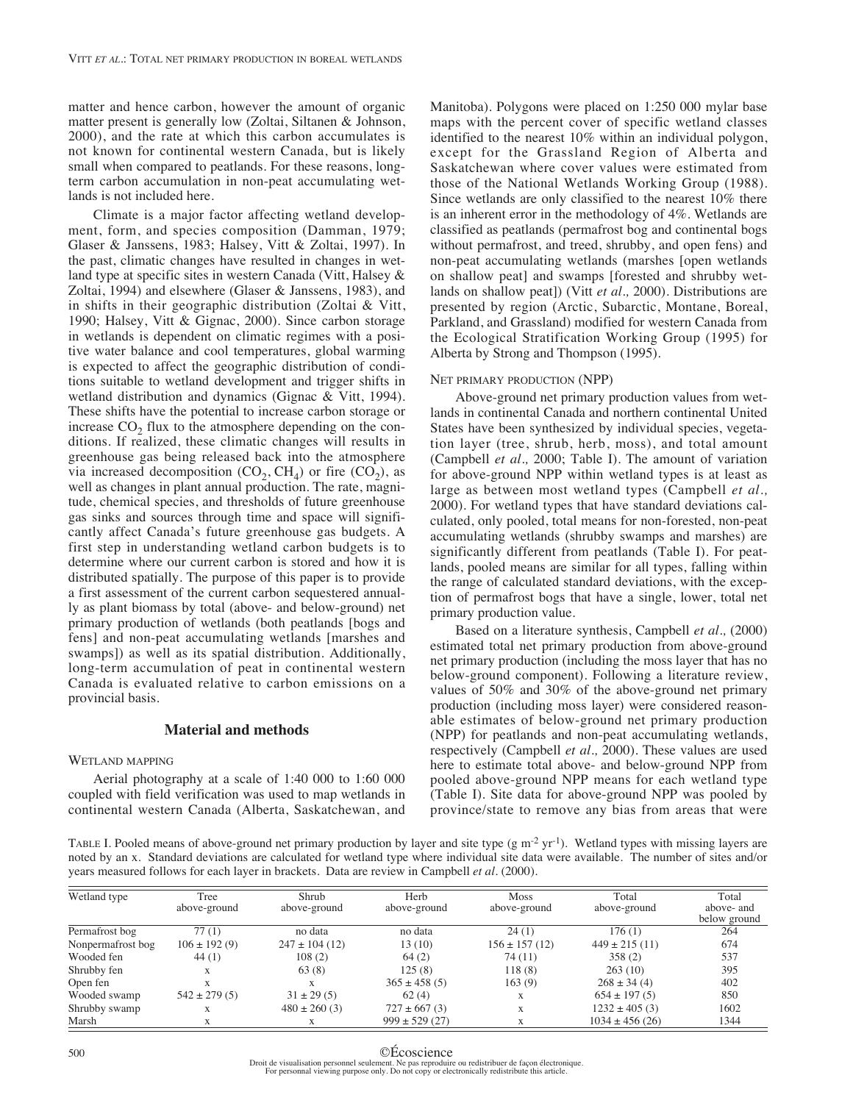matter and hence carbon, however the amount of organic matter present is generally low (Zoltai, Siltanen & Johnson, 2000), and the rate at which this carbon accumulates is not known for continental western Canada, but is likely small when compared to peatlands. For these reasons, longterm carbon accumulation in non-peat accumulating wetlands is not included here.

Climate is a major factor affecting wetland development, form, and species composition (Damman, 1979; Glaser & Janssens, 1983; Halsey, Vitt & Zoltai, 1997). In the past, climatic changes have resulted in changes in wetland type at specific sites in western Canada (Vitt, Halsey & Zoltai, 1994) and elsewhere (Glaser & Janssens, 1983), and in shifts in their geographic distribution (Zoltai & Vitt, 1990; Halsey, Vitt & Gignac, 2000). Since carbon storage in wetlands is dependent on climatic regimes with a positive water balance and cool temperatures, global warming is expected to affect the geographic distribution of conditions suitable to wetland development and trigger shifts in wetland distribution and dynamics (Gignac & Vitt, 1994). These shifts have the potential to increase carbon storage or increase  $CO<sub>2</sub>$  flux to the atmosphere depending on the conditions. If realized, these climatic changes will results in greenhouse gas being released back into the atmosphere via increased decomposition  $(CO_2, CH_4)$  or fire  $(CO_2)$ , as well as changes in plant annual production. The rate, magnitude, chemical species, and thresholds of future greenhouse gas sinks and sources through time and space will significantly affect Canada's future greenhouse gas budgets. A first step in understanding wetland carbon budgets is to determine where our current carbon is stored and how it is distributed spatially. The purpose of this paper is to provide a first assessment of the current carbon sequestered annually as plant biomass by total (above- and below-ground) net primary production of wetlands (both peatlands [bogs and fens] and non-peat accumulating wetlands [marshes and swamps]) as well as its spatial distribution. Additionally, long-term accumulation of peat in continental western Canada is evaluated relative to carbon emissions on a provincial basis.

# **Material and methods**

#### WETLAND MAPPING

Aerial photography at a scale of 1:40 000 to 1:60 000 coupled with field verification was used to map wetlands in continental western Canada (Alberta, Saskatchewan, and Manitoba). Polygons were placed on 1:250 000 mylar base maps with the percent cover of specific wetland classes identified to the nearest 10% within an individual polygon, except for the Grassland Region of Alberta and Saskatchewan where cover values were estimated from those of the National Wetlands Working Group (1988). Since wetlands are only classified to the nearest 10% there is an inherent error in the methodology of 4%. Wetlands are classified as peatlands (permafrost bog and continental bogs without permafrost, and treed, shrubby, and open fens) and non-peat accumulating wetlands (marshes [open wetlands on shallow peat] and swamps [forested and shrubby wetlands on shallow peat]) (Vitt *et al.,* 2000). Distributions are presented by region (Arctic, Subarctic, Montane, Boreal, Parkland, and Grassland) modified for western Canada from the Ecological Stratification Working Group (1995) for Alberta by Strong and Thompson (1995).

#### NET PRIMARY PRODUCTION (NPP)

Above-ground net primary production values from wetlands in continental Canada and northern continental United States have been synthesized by individual species, vegetation layer (tree, shrub, herb, moss), and total amount (Campbell *et al.,* 2000; Table I). The amount of variation for above-ground NPP within wetland types is at least as large as between most wetland types (Campbell *et al.,* 2000). For wetland types that have standard deviations calculated, only pooled, total means for non-forested, non-peat accumulating wetlands (shrubby swamps and marshes) are significantly different from peatlands (Table I). For peatlands, pooled means are similar for all types, falling within the range of calculated standard deviations, with the exception of permafrost bogs that have a single, lower, total net primary production value.

Based on a literature synthesis, Campbell *et al.,* (2000) estimated total net primary production from above-ground net primary production (including the moss layer that has no below-ground component). Following a literature review, values of 50% and 30% of the above-ground net primary production (including moss layer) were considered reasonable estimates of below-ground net primary production (NPP) for peatlands and non-peat accumulating wetlands, respectively (Campbell *et al.,* 2000). These values are used here to estimate total above- and below-ground NPP from pooled above-ground NPP means for each wetland type (Table I). Site data for above-ground NPP was pooled by province/state to remove any bias from areas that were

TABLE I. Pooled means of above-ground net primary production by layer and site type  $(g m<sup>-2</sup> yr<sup>-1</sup>)$ . Wetland types with missing layers are noted by an x. Standard deviations are calculated for wetland type where individual site data were available. The number of sites and/or years measured follows for each layer in brackets. Data are review in Campbell *et al*. (2000).

| Wetland type      | Tree              | Shrub              | Herb               | <b>Moss</b>       | Total              | Total        |
|-------------------|-------------------|--------------------|--------------------|-------------------|--------------------|--------------|
|                   | above-ground      | above-ground       | above-ground       | above-ground      | above-ground       | above- and   |
|                   |                   |                    |                    |                   |                    | below ground |
| Permafrost bog    | 77(1)             | no data            | no data            | 24(1)             | 176(1)             | 264          |
| Nonpermafrost bog | $106 \pm 192(9)$  | $247 \pm 104$ (12) | 13(10)             | $156 \pm 157(12)$ | $449 \pm 215(11)$  | 674          |
| Wooded fen        | 44(1)             | 108(2)             | 64(2)              | 74 (11)           | 358(2)             | 537          |
| Shrubby fen       | X                 | 63(8)              | 125(8)             | 118(8)            | 263(10)            | 395          |
| Open fen          |                   |                    | $365 \pm 458$ (5)  | 163(9)            | $268 \pm 34(4)$    | 402          |
| Wooded swamp      | $542 \pm 279$ (5) | $31 \pm 29(5)$     | 62(4)              | X                 | $654 \pm 197(5)$   | 850          |
| Shrubby swamp     | X                 | $480 \pm 260$ (3)  | $727 \pm 667$ (3)  | X                 | $1232 \pm 405$ (3) | 1602         |
| Marsh             |                   |                    | $999 \pm 529$ (27) | X                 | $1034 \pm 456(26)$ | 1344         |

©Écoscience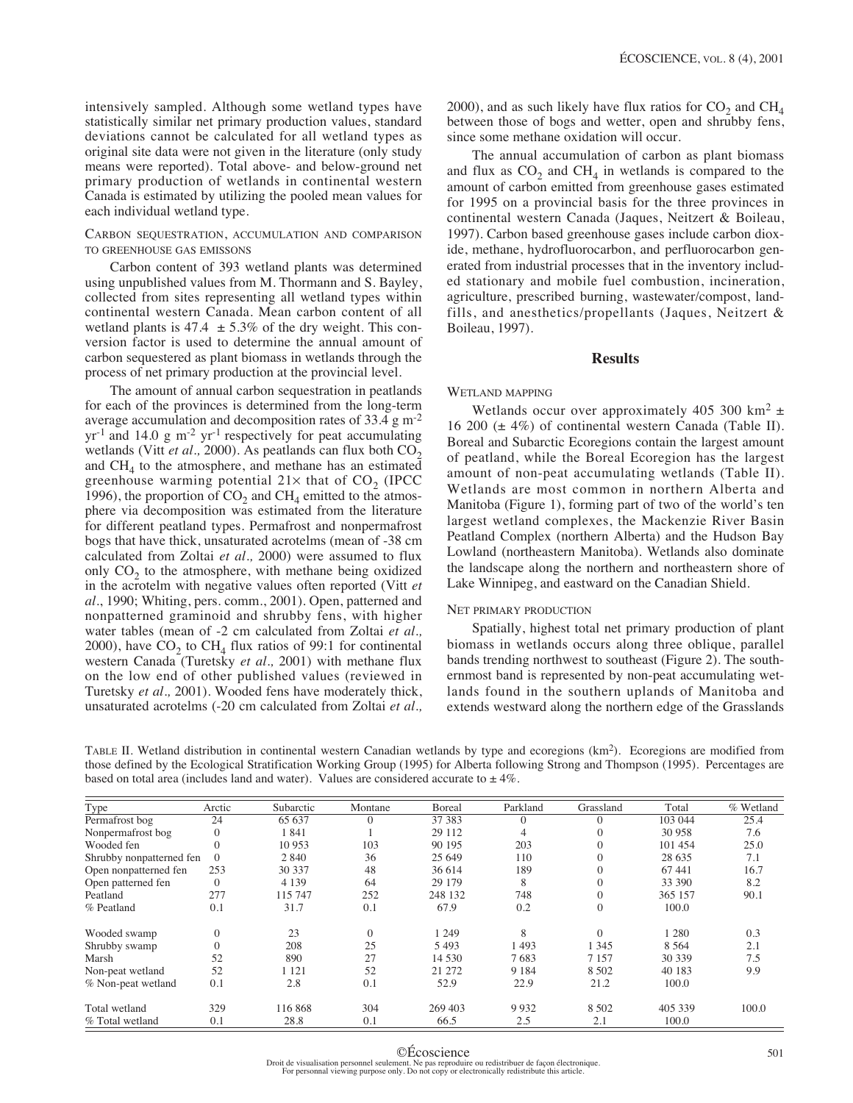intensively sampled. Although some wetland types have statistically similar net primary production values, standard deviations cannot be calculated for all wetland types as original site data were not given in the literature (only study means were reported). Total above- and below-ground net primary production of wetlands in continental western Canada is estimated by utilizing the pooled mean values for each individual wetland type.

# CARBON SEQUESTRATION, ACCUMULATION AND COMPARISON TO GREENHOUSE GAS EMISSONS

Carbon content of 393 wetland plants was determined using unpublished values from M. Thormann and S. Bayley, collected from sites representing all wetland types within continental western Canada. Mean carbon content of all wetland plants is 47.4  $\pm$  5.3% of the dry weight. This conversion factor is used to determine the annual amount of carbon sequestered as plant biomass in wetlands through the process of net primary production at the provincial level.

The amount of annual carbon sequestration in peatlands for each of the provinces is determined from the long-term average accumulation and decomposition rates of 33.4 g m-2  $yr^{-1}$  and 14.0 g m<sup>-2</sup> yr<sup>-1</sup> respectively for peat accumulating wetlands (Vitt  $et$   $al$ ., 2000). As peatlands can flux both  $CO<sub>2</sub>$ and  $CH<sub>4</sub>$  to the atmosphere, and methane has an estimated greenhouse warming potential  $21\times$  that of CO<sub>2</sub> (IPCC) 1996), the proportion of  $CO<sub>2</sub>$  and  $CH<sub>4</sub>$  emitted to the atmosphere via decomposition was estimated from the literature for different peatland types. Permafrost and nonpermafrost bogs that have thick, unsaturated acrotelms (mean of -38 cm calculated from Zoltai *et al.,* 2000) were assumed to flux only  $CO<sub>2</sub>$  to the atmosphere, with methane being oxidized in the acrotelm with negative values often reported (Vitt *et al.*, 1990; Whiting, pers. comm., 2001). Open, patterned and nonpatterned graminoid and shrubby fens, with higher water tables (mean of -2 cm calculated from Zoltai *et al.,* 2000), have  $CO<sub>2</sub>$  to  $CH<sub>4</sub>$  flux ratios of 99:1 for continental western Canada (Turetsky *et al.,* 2001) with methane flux on the low end of other published values (reviewed in Turetsky *et al.,* 2001). Wooded fens have moderately thick, unsaturated acrotelms (-20 cm calculated from Zoltai *et al.,* 2000), and as such likely have flux ratios for  $CO<sub>2</sub>$  and  $CH<sub>4</sub>$ between those of bogs and wetter, open and shrubby fens, since some methane oxidation will occur.

The annual accumulation of carbon as plant biomass and flux as  $CO<sub>2</sub>$  and  $CH<sub>4</sub>$  in wetlands is compared to the amount of carbon emitted from greenhouse gases estimated for 1995 on a provincial basis for the three provinces in continental western Canada (Jaques, Neitzert & Boileau, 1997). Carbon based greenhouse gases include carbon dioxide, methane, hydrofluorocarbon, and perfluorocarbon generated from industrial processes that in the inventory included stationary and mobile fuel combustion, incineration, agriculture, prescribed burning, wastewater/compost, landfills, and anesthetics/propellants (Jaques, Neitzert & Boileau, 1997).

# **Results**

# WETLAND MAPPING

Wetlands occur over approximately 405 300 km<sup>2</sup>  $\pm$ 16 200 ( $\pm$  4%) of continental western Canada (Table II). Boreal and Subarctic Ecoregions contain the largest amount of peatland, while the Boreal Ecoregion has the largest amount of non-peat accumulating wetlands (Table II). Wetlands are most common in northern Alberta and Manitoba (Figure 1), forming part of two of the world's ten largest wetland complexes, the Mackenzie River Basin Peatland Complex (northern Alberta) and the Hudson Bay Lowland (northeastern Manitoba). Wetlands also dominate the landscape along the northern and northeastern shore of Lake Winnipeg, and eastward on the Canadian Shield.

# NET PRIMARY PRODUCTION

Spatially, highest total net primary production of plant biomass in wetlands occurs along three oblique, parallel bands trending northwest to southeast (Figure 2). The southernmost band is represented by non-peat accumulating wetlands found in the southern uplands of Manitoba and extends westward along the northern edge of the Grasslands

TABLE II. Wetland distribution in continental western Canadian wetlands by type and ecoregions (km2). Ecoregions are modified from those defined by the Ecological Stratification Working Group (1995) for Alberta following Strong and Thompson (1995). Percentages are based on total area (includes land and water). Values are considered accurate to  $\pm 4\%$ .

| Type                     | Arctic         | Subarctic | Montane        | <b>B</b> oreal | Parkland | Grassland | Total   | % Wetland |
|--------------------------|----------------|-----------|----------------|----------------|----------|-----------|---------|-----------|
| Permafrost bog           | 24             | 65 637    | $\Omega$       | 37 38 3        | $\Omega$ | $\Omega$  | 103 044 | 25.4      |
| Nonpermafrost bog        | $\theta$       | 1841      |                | 29 112         | 4        | $\Omega$  | 30 958  | 7.6       |
| Wooded fen               | $\theta$       | 10 953    | 103            | 90 195         | 203      | $\Omega$  | 101 454 | 25.0      |
| Shrubby nonpatterned fen | $\Omega$       | 2 8 4 0   | 36             | 25 649         | 110      | $\Omega$  | 28 6 35 | 7.1       |
| Open nonpatterned fen    | 253            | 30 337    | 48             | 36 614         | 189      | $\Omega$  | 67441   | 16.7      |
| Open patterned fen       | $\theta$       | 4 1 3 9   | 64             | 29 179         | 8        | $\Omega$  | 33 390  | 8.2       |
| Peatland                 | 277            | 115 747   | 252            | 248 132        | 748      | $\Omega$  | 365 157 | 90.1      |
| % Peatland               | 0.1            | 31.7      | 0.1            | 67.9           | 0.2      | $\Omega$  | 100.0   |           |
| Wooded swamp             | $\overline{0}$ | 23        | $\overline{0}$ | 1 249          | 8        | $\Omega$  | 1 280   | 0.3       |
| Shrubby swamp            | $\mathbf{0}$   | 208       | 25             | 5493           | 1493     | 1 345     | 8 5 6 4 | 2.1       |
| Marsh                    | 52             | 890       | 27             | 14 5 30        | 7683     | 7 1 5 7   | 30 339  | 7.5       |
| Non-peat wetland         | 52             | 1 1 2 1   | 52             | 21 272         | 9 1 8 4  | 8 5 0 2   | 40 183  | 9.9       |
| % Non-peat wetland       | 0.1            | 2.8       | 0.1            | 52.9           | 22.9     | 21.2      | 100.0   |           |
| Total wetland            | 329            | 116868    | 304            | 269 403        | 9932     | 8 5 0 2   | 405 339 | 100.0     |
| % Total wetland          | 0.1            | 28.8      | 0.1            | 66.5           | 2.5      | 2.1       | 100.0   |           |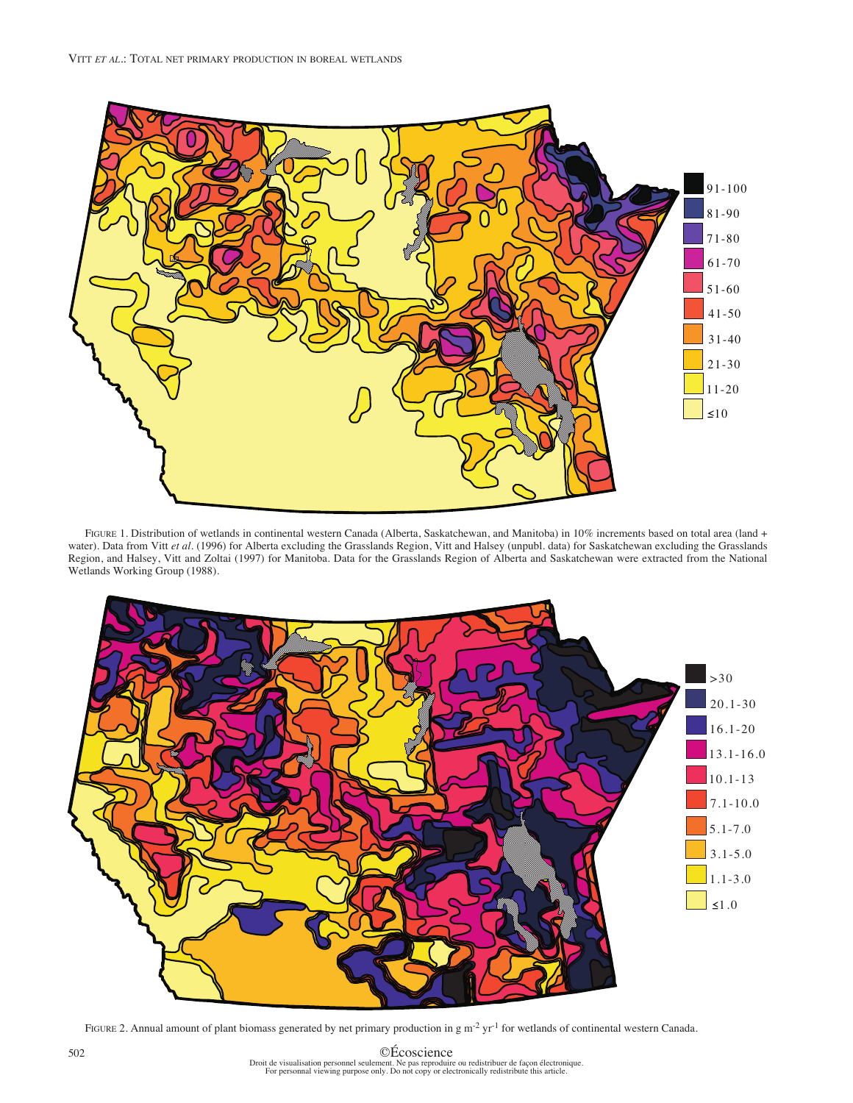

FIGURE 1. Distribution of wetlands in continental western Canada (Alberta, Saskatchewan, and Manitoba) in 10% increments based on total area (land + water). Data from Vitt et al. (1996) for Alberta excluding the Grasslands Region, Vitt and Halsey (unpubl. data) for Saskatchewan excluding the Grasslands Region, and Halsey, Vitt and Zoltai (1997) for Manitoba. Data for the Grasslands Region of Alberta and Saskatchewan were extracted from the National Wetlands Working Group (1988).



FIGURE 2. Annual amount of plant biomass generated by net primary production in g  $m^2 yr^1$  for wetlands of continental western Canada.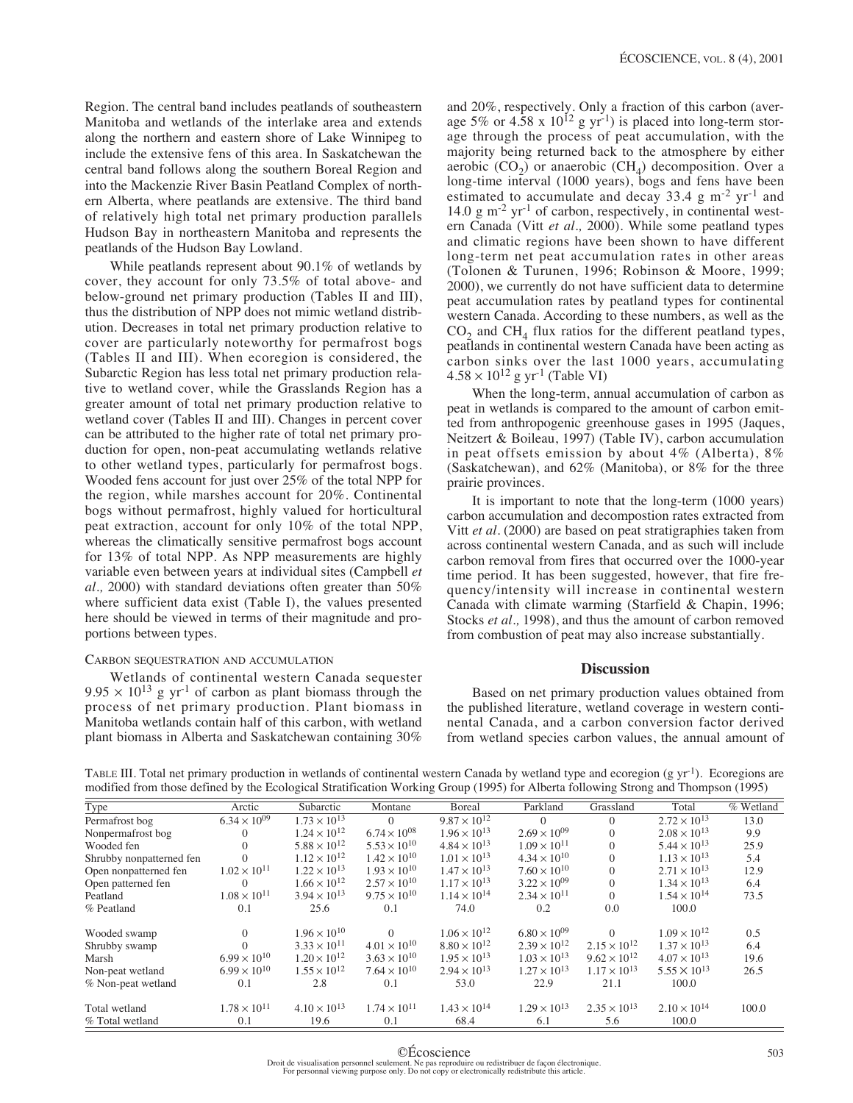Region. The central band includes peatlands of southeastern Manitoba and wetlands of the interlake area and extends along the northern and eastern shore of Lake Winnipeg to include the extensive fens of this area. In Saskatchewan the central band follows along the southern Boreal Region and into the Mackenzie River Basin Peatland Complex of northern Alberta, where peatlands are extensive. The third band of relatively high total net primary production parallels Hudson Bay in northeastern Manitoba and represents the peatlands of the Hudson Bay Lowland.

While peatlands represent about 90.1% of wetlands by cover, they account for only 73.5% of total above- and below-ground net primary production (Tables II and III), thus the distribution of NPP does not mimic wetland distribution. Decreases in total net primary production relative to cover are particularly noteworthy for permafrost bogs (Tables II and III). When ecoregion is considered, the Subarctic Region has less total net primary production relative to wetland cover, while the Grasslands Region has a greater amount of total net primary production relative to wetland cover (Tables II and III). Changes in percent cover can be attributed to the higher rate of total net primary production for open, non-peat accumulating wetlands relative to other wetland types, particularly for permafrost bogs. Wooded fens account for just over 25% of the total NPP for the region, while marshes account for 20%. Continental bogs without permafrost, highly valued for horticultural peat extraction, account for only 10% of the total NPP, whereas the climatically sensitive permafrost bogs account for 13% of total NPP. As NPP measurements are highly variable even between years at individual sites (Campbell *et al.,* 2000) with standard deviations often greater than 50% where sufficient data exist (Table I), the values presented here should be viewed in terms of their magnitude and proportions between types.

# CARBON SEQUESTRATION AND ACCUMULATION

Wetlands of continental western Canada sequester  $9.95 \times 10^{13}$  g yr<sup>-1</sup> of carbon as plant biomass through the process of net primary production. Plant biomass in Manitoba wetlands contain half of this carbon, with wetland plant biomass in Alberta and Saskatchewan containing 30% and 20%, respectively. Only a fraction of this carbon (average 5% or 4.58 x  $10^{12}$  g yr<sup>-1</sup>) is placed into long-term storage through the process of peat accumulation, with the majority being returned back to the atmosphere by either aerobic  $(CO<sub>2</sub>)$  or anaerobic  $(CH<sub>4</sub>)$  decomposition. Over a long-time interval (1000 years), bogs and fens have been estimated to accumulate and decay  $33.4 \text{ g m}^{-2} \text{ yr}^{-1}$  and 14.0 g m<sup>-2</sup> yr<sup>-1</sup> of carbon, respectively, in continental western Canada (Vitt *et al.,* 2000). While some peatland types and climatic regions have been shown to have different long-term net peat accumulation rates in other areas (Tolonen & Turunen, 1996; Robinson & Moore, 1999; 2000), we currently do not have sufficient data to determine peat accumulation rates by peatland types for continental western Canada. According to these numbers, as well as the  $CO<sub>2</sub>$  and  $CH<sub>4</sub>$  flux ratios for the different peatland types, peatlands in continental western Canada have been acting as carbon sinks over the last 1000 years, accumulating  $4.58 \times 10^{12}$  g yr<sup>-1</sup> (Table VI)

When the long-term, annual accumulation of carbon as peat in wetlands is compared to the amount of carbon emitted from anthropogenic greenhouse gases in 1995 (Jaques, Neitzert & Boileau, 1997) (Table IV), carbon accumulation in peat offsets emission by about 4% (Alberta), 8% (Saskatchewan), and 62% (Manitoba), or 8% for the three prairie provinces.

It is important to note that the long-term (1000 years) carbon accumulation and decompostion rates extracted from Vitt *et al.* (2000) are based on peat stratigraphies taken from across continental western Canada, and as such will include carbon removal from fires that occurred over the 1000-year time period. It has been suggested, however, that fire frequency/intensity will increase in continental western Canada with climate warming (Starfield & Chapin, 1996; Stocks *et al.,* 1998), and thus the amount of carbon removed from combustion of peat may also increase substantially.

### **Discussion**

Based on net primary production values obtained from the published literature, wetland coverage in western continental Canada, and a carbon conversion factor derived from wetland species carbon values, the annual amount of

| TABLE III. Total net primary production in wetlands of continental western Canada by wetland type and ecoregion (g yr <sup>-1</sup> ). Ecoregions are |  |
|-------------------------------------------------------------------------------------------------------------------------------------------------------|--|
| modified from those defined by the Ecological Stratification Working Group (1995) for Alberta following Strong and Thompson (1995)                    |  |

| Type                     | Arctic                | Subarctic             | Montane               | Boreal                | Parkland              | Grassland             | Total                 | % Wetland |
|--------------------------|-----------------------|-----------------------|-----------------------|-----------------------|-----------------------|-----------------------|-----------------------|-----------|
| Permafrost bog           | $6.34 \times 10^{09}$ | $1.73 \times 10^{13}$ | $\Omega$              | $9.87 \times 10^{12}$ | $\Omega$              | $\overline{0}$        | $2.72 \times 10^{13}$ | 13.0      |
| Nonpermafrost bog        | $\Omega$              | $1.24 \times 10^{12}$ | $6.74 \times 10^{08}$ | $1.96 \times 10^{13}$ | $2.69 \times 10^{09}$ | $\mathbf{0}$          | $2.08 \times 10^{13}$ | 9.9       |
| Wooded fen               | $\Omega$              | $5.88 \times 10^{12}$ | $5.53 \times 10^{10}$ | $4.84 \times 10^{13}$ | $1.09 \times 10^{11}$ | $\mathbf{0}$          | $5.44 \times 10^{13}$ | 25.9      |
| Shrubby nonpatterned fen | $\Omega$              | $1.12 \times 10^{12}$ | $1.42 \times 10^{10}$ | $1.01 \times 10^{13}$ | $4.34 \times 10^{10}$ | $\mathbf{0}$          | $1.13 \times 10^{13}$ | 5.4       |
| Open nonpatterned fen    | $1.02 \times 10^{11}$ | $1.22 \times 10^{13}$ | $1.93 \times 10^{10}$ | $1.47 \times 10^{13}$ | $7.60 \times 10^{10}$ | $\mathbf{0}$          | $2.71 \times 10^{13}$ | 12.9      |
| Open patterned fen       | $\Omega$              | $1.66 \times 10^{12}$ | $2.57 \times 10^{10}$ | $1.17 \times 10^{13}$ | $3.22 \times 10^{09}$ | $\mathbf{0}$          | $1.34 \times 10^{13}$ | 6.4       |
| Peatland                 | $1.08 \times 10^{11}$ | $3.94 \times 10^{13}$ | $9.75 \times 10^{10}$ | $1.14 \times 10^{14}$ | $2.34 \times 10^{11}$ | $\Omega$              | $1.54 \times 10^{14}$ | 73.5      |
| % Peatland               | 0.1                   | 25.6                  | 0.1                   | 74.0                  | 0.2                   | 0.0                   | 100.0                 |           |
| Wooded swamp             | $\Omega$              | $1.96 \times 10^{10}$ | $\Omega$              | $1.06 \times 10^{12}$ | $6.80 \times 10^{09}$ | $\Omega$              | $1.09 \times 10^{12}$ | 0.5       |
| Shrubby swamp            |                       | $3.33 \times 10^{11}$ | $4.01 \times 10^{10}$ | $8.80 \times 10^{12}$ | $2.39 \times 10^{12}$ | $2.15 \times 10^{12}$ | $1.37 \times 10^{13}$ | 6.4       |
| Marsh                    | $6.99 \times 10^{10}$ | $1.20 \times 10^{12}$ | $3.63 \times 10^{10}$ | $1.95 \times 10^{13}$ | $1.03 \times 10^{13}$ | $9.62 \times 10^{12}$ | $4.07 \times 10^{13}$ | 19.6      |
| Non-peat wetland         | $6.99 \times 10^{10}$ | $1.55 \times 10^{12}$ | $7.64 \times 10^{10}$ | $2.94 \times 10^{13}$ | $1.27 \times 10^{13}$ | $1.17 \times 10^{13}$ | $5.55 \times 10^{13}$ | 26.5      |
| % Non-peat wetland       | 0.1                   | 2.8                   | 0.1                   | 53.0                  | 22.9                  | 21.1                  | 100.0                 |           |
| Total wetland            | $1.78 \times 10^{11}$ | $4.10 \times 10^{13}$ | $1.74 \times 10^{11}$ | $1.43 \times 10^{14}$ | $1.29 \times 10^{13}$ | $2.35 \times 10^{13}$ | $2.10 \times 10^{14}$ | 100.0     |
| % Total wetland          | 0.1                   | 19.6                  | 0.1                   | 68.4                  | 6.1                   | 5.6                   | 100.0                 |           |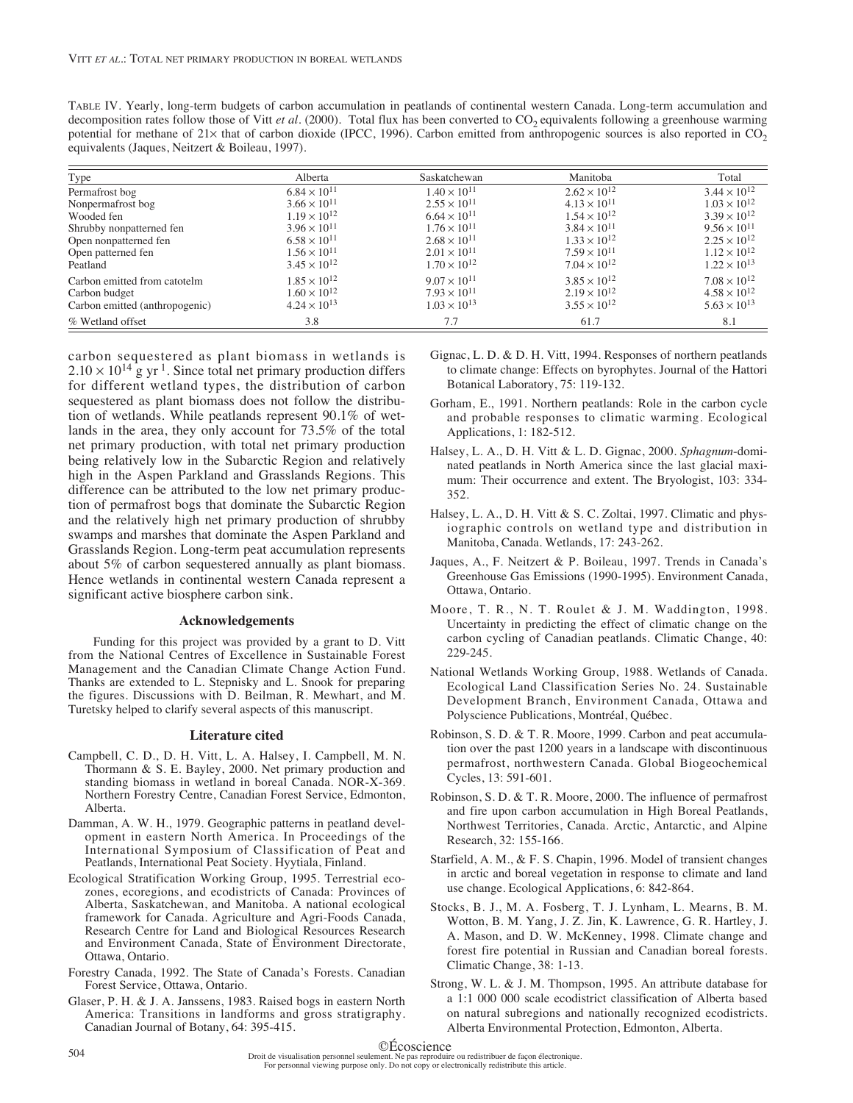| TABLE IV. Yearly, long-term budgets of carbon accumulation in peatlands of continental western Canada. Long-term accumulation and                      |
|--------------------------------------------------------------------------------------------------------------------------------------------------------|
| decomposition rates follow those of Vitt <i>et al.</i> (2000). Total flux has been converted to $CO2$ equivalents following a greenhouse warming       |
| potential for methane of $21\times$ that of carbon dioxide (IPCC, 1996). Carbon emitted from anthropogenic sources is also reported in CO <sub>2</sub> |
| equivalents (Jaques, Neitzert & Boileau, 1997).                                                                                                        |

| Type                           | Alberta               | Saskatchewan          | Manitoba              | Total                 |
|--------------------------------|-----------------------|-----------------------|-----------------------|-----------------------|
| Permafrost bog                 | $6.84 \times 10^{11}$ | $1.40 \times 10^{11}$ | $2.62 \times 10^{12}$ | $3.44 \times 10^{12}$ |
| Nonpermafrost bog              | $3.66 \times 10^{11}$ | $2.55 \times 10^{11}$ | $4.13 \times 10^{11}$ | $1.03 \times 10^{12}$ |
| Wooded fen                     | $1.19 \times 10^{12}$ | $6.64 \times 10^{11}$ | $1.54 \times 10^{12}$ | $3.39 \times 10^{12}$ |
| Shrubby nonpatterned fen       | $3.96 \times 10^{11}$ | $1.76 \times 10^{11}$ | $3.84 \times 10^{11}$ | $9.56 \times 10^{11}$ |
| Open nonpatterned fen          | $6.58 \times 10^{11}$ | $2.68 \times 10^{11}$ | $1.33 \times 10^{12}$ | $2.25 \times 10^{12}$ |
| Open patterned fen             | $1.56 \times 10^{11}$ | $2.01 \times 10^{11}$ | $7.59 \times 10^{11}$ | $1.12 \times 10^{12}$ |
| Peatland                       | $3.45 \times 10^{12}$ | $1.70 \times 10^{12}$ | $7.04 \times 10^{12}$ | $1.22 \times 10^{13}$ |
| Carbon emitted from catotelm   | $1.85 \times 10^{12}$ | $9.07 \times 10^{11}$ | $3.85 \times 10^{12}$ | $7.08 \times 10^{12}$ |
| Carbon budget                  | $1.60 \times 10^{12}$ | $7.93 \times 10^{11}$ | $2.19 \times 10^{12}$ | $4.58 \times 10^{12}$ |
| Carbon emitted (anthropogenic) | $4.24 \times 10^{13}$ | $1.03 \times 10^{13}$ | $3.55 \times 10^{12}$ | $5.63 \times 10^{13}$ |
| % Wetland offset               | 3.8                   | 7.7                   | 61.7                  | 8.1                   |

carbon sequestered as plant biomass in wetlands is  $2.10 \times 10^{14}$  g yr<sup>1</sup>. Since total net primary production differs for different wetland types, the distribution of carbon sequestered as plant biomass does not follow the distribution of wetlands. While peatlands represent 90.1% of wetlands in the area, they only account for 73.5% of the total net primary production, with total net primary production being relatively low in the Subarctic Region and relatively high in the Aspen Parkland and Grasslands Regions. This difference can be attributed to the low net primary production of permafrost bogs that dominate the Subarctic Region and the relatively high net primary production of shrubby swamps and marshes that dominate the Aspen Parkland and Grasslands Region. Long-term peat accumulation represents about 5% of carbon sequestered annually as plant biomass. Hence wetlands in continental western Canada represent a significant active biosphere carbon sink.

# **Acknowledgements**

Funding for this project was provided by a grant to D. Vitt from the National Centres of Excellence in Sustainable Forest Management and the Canadian Climate Change Action Fund. Thanks are extended to L. Stepnisky and L. Snook for preparing the figures. Discussions with D. Beilman, R. Mewhart, and M. Turetsky helped to clarify several aspects of this manuscript.

#### **Literature cited**

- Campbell, C. D., D. H. Vitt, L. A. Halsey, I. Campbell, M. N. Thormann & S. E. Bayley, 2000. Net primary production and standing biomass in wetland in boreal Canada. NOR-X-369. Northern Forestry Centre, Canadian Forest Service, Edmonton, Alberta.
- Damman, A. W. H., 1979. Geographic patterns in peatland development in eastern North America. In Proceedings of the International Symposium of Classification of Peat and Peatlands, International Peat Society. Hyytiala, Finland.
- Ecological Stratification Working Group, 1995. Terrestrial ecozones, ecoregions, and ecodistricts of Canada: Provinces of Alberta, Saskatchewan, and Manitoba. A national ecological framework for Canada. Agriculture and Agri-Foods Canada, Research Centre for Land and Biological Resources Research and Environment Canada, State of Environment Directorate, Ottawa, Ontario.
- Forestry Canada, 1992. The State of Canada's Forests. Canadian Forest Service, Ottawa, Ontario.
- Glaser, P. H. & J. A. Janssens, 1983. Raised bogs in eastern North America: Transitions in landforms and gross stratigraphy. Canadian Journal of Botany, 64: 395-415.
- Gignac, L. D. & D. H. Vitt, 1994. Responses of northern peatlands to climate change: Effects on byrophytes. Journal of the Hattori Botanical Laboratory, 75: 119-132.
- Gorham, E., 1991. Northern peatlands: Role in the carbon cycle and probable responses to climatic warming. Ecological Applications, 1: 182-512.
- Halsey, L. A., D. H. Vitt & L. D. Gignac, 2000. *Sphagnum*-dominated peatlands in North America since the last glacial maximum: Their occurrence and extent. The Bryologist, 103: 334- 352.
- Halsey, L. A., D. H. Vitt & S. C. Zoltai, 1997. Climatic and physiographic controls on wetland type and distribution in Manitoba, Canada. Wetlands, 17: 243-262.
- Jaques, A., F. Neitzert & P. Boileau, 1997. Trends in Canada's Greenhouse Gas Emissions (1990-1995). Environment Canada, Ottawa, Ontario.
- Moore, T. R., N. T. Roulet & J. M. Waddington, 1998. Uncertainty in predicting the effect of climatic change on the carbon cycling of Canadian peatlands. Climatic Change, 40: 229-245.
- National Wetlands Working Group, 1988. Wetlands of Canada. Ecological Land Classification Series No. 24. Sustainable Development Branch, Environment Canada, Ottawa and Polyscience Publications, Montréal, Québec.
- Robinson, S. D. & T. R. Moore, 1999. Carbon and peat accumulation over the past 1200 years in a landscape with discontinuous permafrost, northwestern Canada. Global Biogeochemical Cycles, 13: 591-601.
- Robinson, S. D. & T. R. Moore, 2000. The influence of permafrost and fire upon carbon accumulation in High Boreal Peatlands, Northwest Territories, Canada. Arctic, Antarctic, and Alpine Research, 32: 155-166.
- Starfield, A. M., & F. S. Chapin, 1996. Model of transient changes in arctic and boreal vegetation in response to climate and land use change. Ecological Applications, 6: 842-864.
- Stocks, B. J., M. A. Fosberg, T. J. Lynham, L. Mearns, B. M. Wotton, B. M. Yang, J. Z. Jin, K. Lawrence, G. R. Hartley, J. A. Mason, and D. W. McKenney, 1998. Climate change and forest fire potential in Russian and Canadian boreal forests. Climatic Change, 38: 1-13.
- Strong, W. L. & J. M. Thompson, 1995. An attribute database for a 1:1 000 000 scale ecodistrict classification of Alberta based on natural subregions and nationally recognized ecodistricts. Alberta Environmental Protection, Edmonton, Alberta.

### ©Écoscience